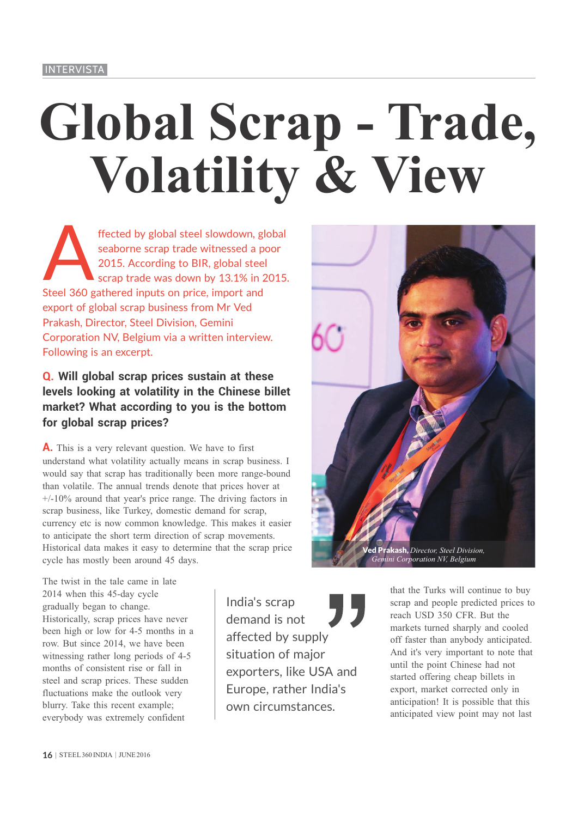# **Global Scrap - Trade, Volatility & View**

ffected by global steel slowdown, global<br>seaborne scrap trade witnessed a poor<br>2015. According to BIR, global steel<br>scrap trade was down by 13.1% in 2015. seaborne scrap trade witnessed a poor 2015. According to BIR, global steel scrap trade was down by 13.1% in 2015. Steel 360 gathered inputs on price, import and export of global scrap business from Mr Ved Prakash, Director, Steel Division, Gemini Corporation NV, Belgium via a written interview. Following is an excerpt.

## **Q. Will global scrap prices sustain at these levels looking at volatility in the Chinese billet market? What according to you is the bottom for global scrap prices?**

**A.** This is a very relevant question. We have to first understand what volatility actually means in scrap business. I would say that scrap has traditionally been more range-bound than volatile. The annual trends denote that prices hover at  $+/-10\%$  around that year's price range. The driving factors in scrap business, like Turkey, domestic demand for scrap, currency etc is now common knowledge. This makes it easier to anticipate the short term direction of scrap movements. Historical data makes it easy to determine that the scrap price cycle has mostly been around 45 days.

akash, *Director, Steel Division*, *Gemini Corporation NV, Belgium*

The twist in the tale came in late 2014 when this 45-day cycle gradually began to change. Historically, scrap prices have never been high or low for 4-5 months in a row. But since 2014, we have been witnessing rather long periods of 4-5 months of consistent rise or fall in steel and scrap prices. These sudden fluctuations make the outlook very blurry. Take this recent example; everybody was extremely confident

India's scrap demand is not affected by supply situation of major exporters, like USA and Europe, rather India's own circumstances.

that the Turks will continue to buy scrap and people predicted prices to reach USD 350 CFR. But the markets turned sharply and cooled off faster than anybody anticipated. And it's very important to note that until the point Chinese had not started offering cheap billets in export, market corrected only in anticipation! It is possible that this anticipated view point may not last